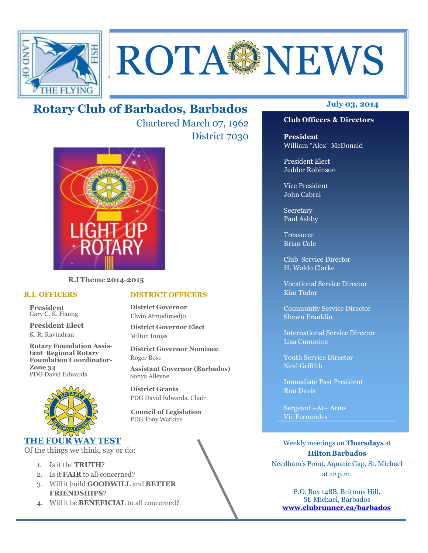

# **ROTA NEWS**

## **July 03, 2014 Rotary Club of Barbados, Barbados**

Chartered March 07, 1962 District 7030



**R.I Theme 2014-2015** 

#### **R.I. OFFICERS**

**President** Gary C. K. Haung

**President Elect** K. R. Ravindran

**Rotary Foundation Assistant Regional Rotary Foundation Coordinator-Zone 34**  PDG David Edwards



#### **THE FOUR WAY TEST**

Of the things we think, say or do:

- 1. Is it the **TRUTH**?
- 2. Is it **FAIR** to all concerned?
- 3. Will it build **GOODWILL** and **BETTER FRIENDSHIPS**?
- 4. Will it be **BENEFICIAL** to all concerned?

#### **Club Officers & Directors**

**President** William "Alex' McDonald

President Elect Jedder Robinson

Vice President John Cabral

Secretary Paul Ashby

Treasurer Brian Cole

Club Service Director H. Waldo Clarke

Vocational Service Director Kim Tudor

Community Service Director Shawn Franklin

International Service Director Lisa Cummins

Youth Service Director Neal Griffith

Immediate Past President Ron Davis

Sergeant –At– Arms Vic Fernandes

Weekly meetings on **Thursdays** at **Hilton Barbados** Needham's Point, Aquatic Gap, St. Michael at 12 p.m.

P.O. Box 148B, Brittons Hill, St. Michael, Barbados **www.clubrunner.ca/barbados**

#### **DISTRICT OFFICERS**

**District Governor** Elwin Atmodimedjo

**District Governor Elect** Milton Inniss

**District Governor Nominee**  Roger Bose

**Assistant Governor (Barbados)** Sonya Alleyne

**District Grants**  PDG David Edwards, Chair

 **Council of Legislation**  PDG Tony Watkins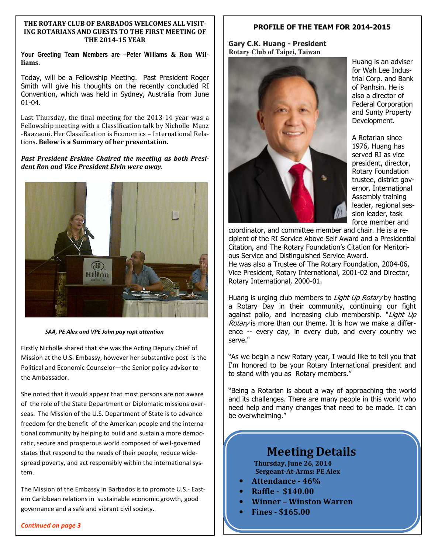#### **THE ROTARY CLUB OF BARBADOS WELCOMES ALL VISIT-ING ROTARIANS AND GUESTS TO THE FIRST MEETING OF THE 2014-15 YEAR**

**Your Greeting Team Members are –Peter Williams & Ron Williams.** 

Today, will be a Fellowship Meeting. Past President Roger Smith will give his thoughts on the recently concluded RI Convention, which was held in Sydney, Australia from June 01-04.

Last Thursday, the final meeting for the 2013-14 year was a Fellowship meeting with a Classification talk by Nicholle Manz -Baazaoui. Her Classification is Economics – International Relations. **Below is a Summary of her presentation.**

*Past President Erskine Chaired the meeting as both President Ron and Vice President Elvin were away.* 



 *SAA, PE Alex and VPE John pay rapt attention*

Firstly Nicholle shared that she was the Acting Deputy Chief of Mission at the U.S. Embassy, however her substantive post is the Political and Economic Counselor—the Senior policy advisor to the Ambassador.

She noted that it would appear that most persons are not aware of the role of the State Department or Diplomatic missions overseas. The Mission of the U.S. Department of State is to advance freedom for the benefit of the American people and the international community by helping to build and sustain a more democratic, secure and prosperous world composed of well-governed states that respond to the needs of their people, reduce widespread poverty, and act responsibly within the international system.

The Mission of the Embassy in Barbados is to promote U.S.- Eastern Caribbean relations in sustainable economic growth, good governance and a safe and vibrant civil society.

*Continued on page 3* 

#### **PROFILE OF THE TEAM FOR 2014-2015**

**Gary C.K. Huang - President Rotary Club of Taipei, Taiwan** 



Huang is an adviser for Wah Lee Industrial Corp. and Bank of Panhsin. He is also a director of Federal Corporation and Sunty Property Development.

A Rotarian since 1976, Huang has served RI as vice president, director, Rotary Foundation trustee, district governor, International Assembly training leader, regional session leader, task force member and

coordinator, and committee member and chair. He is a recipient of the RI Service Above Self Award and a Presidential Citation, and The Rotary Foundation's Citation for Meritorious Service and Distinguished Service Award.

He was also a Trustee of The Rotary Foundation, 2004-06, Vice President, Rotary International, 2001-02 and Director, Rotary International, 2000-01.

Huang is urging club members to *Light Up Rotary* by hosting a Rotary Day in their community, continuing our fight against polio, and increasing club membership. "Light Up Rotary is more than our theme. It is how we make a difference -- every day, in every club, and every country we serve."

"As we begin a new Rotary year, I would like to tell you that I'm honored to be your Rotary International president and to stand with you as Rotary members."

"Being a Rotarian is about a way of approaching the world and its challenges. There are many people in this world who need help and many changes that need to be made. It can be overwhelming."

## **Meeting Details**

**Thursday, June 26, 2014 Sergeant-At-Arms: PE Alex** 

- **Attendance 46%**
- **Raffle \$140.00**
- **Winner Winston Warren**
- **Fines \$165.00**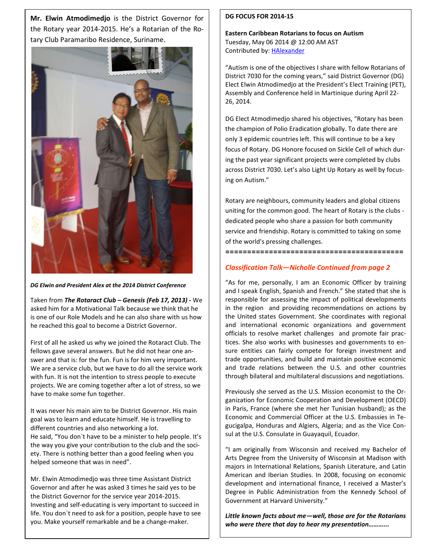**Mr. Elwin Atmodimedjo** is the District Governor for the Rotary year 2014-2015. He's a Rotarian of the Rotary Club Paramaribo Residence, Suriname.



*DG Elwin and President Alex at the 2014 District Conference* 

Taken from *The Rotaract Club – Genesis (Feb 17, 2013) -* We asked him for a Motivational Talk because we think that he is one of our Role Models and he can also share with us how he reached this goal to become a District Governor.

First of all he asked us why we joined the Rotaract Club. The fellows gave several answers. But he did not hear one answer and that is: for the fun. Fun is for him very important. We are a service club, but we have to do all the service work with fun. It is not the intention to stress people to execute projects. We are coming together after a lot of stress, so we have to make some fun together.

It was never his main aim to be District Governor. His main goal was to learn and educate himself. He is travelling to different countries and also networking a lot. He said, "You don`t have to be a minister to help people. It's the way you give your contribution to the club and the society. There is nothing better than a good feeling when you helped someone that was in need".

Mr. Elwin Atmodimedjo was three time Assistant District Governor and after he was asked 3 times he said yes to be the District Governor for the service year 2014-2015. Investing and self-educating is very important to succeed in life. You don`t need to ask for a position, people have to see you. Make yourself remarkable and be a change-maker.

#### **DG FOCUS FOR 2014-15**

**Eastern Caribbean Rotarians to focus on Autism**  Tuesday, May 06 2014 @ 12:00 AM AST Contributed by: HAlexander

"Autism is one of the objectives I share with fellow Rotarians of District 7030 for the coming years," said District Governor (DG) Elect Elwin Atmodimedjo at the President's Elect Training (PET), Assembly and Conference held in Martinique during April 22- 26, 2014.

DG Elect Atmodimedjo shared his objectives, "Rotary has been the champion of Polio Eradication globally. To date there are only 3 epidemic countries left. This will continue to be a key focus of Rotary. DG Honore focused on Sickle Cell of which during the past year significant projects were completed by clubs across District 7030. Let's also Light Up Rotary as well by focusing on Autism."

Rotary are neighbours, community leaders and global citizens uniting for the common good. The heart of Rotary is the clubs dedicated people who share a passion for both community service and friendship. Rotary is committed to taking on some of the world's pressing challenges.

**=========================================** 

#### *Classification Talk—Nicholle Continued from page 2*

"As for me, personally, I am an Economic Officer by training and I speak English, Spanish and French." She stated that she is responsible for assessing the impact of political developments in the region and providing recommendations on actions by the United states Government. She coordinates with regional and international economic organizations and government officials to resolve market challenges and promote fair practices. She also works with businesses and governments to ensure entities can fairly compete for foreign investment and trade opportunities, and build and maintain positive economic and trade relations between the U.S. and other countries through bilateral and multilateral discussions and negotiations.

Previously she served as the U.S. Mission economist to the Organization for Economic Cooperation and Development (OECD) in Paris, France (where she met her Tunisian husband); as the Economic and Commercial Officer at the U.S. Embassies in Tegucigalpa, Honduras and Algiers, Algeria; and as the Vice Consul at the U.S. Consulate in Guayaquil, Ecuador.

"I am originally from Wisconsin and received my Bachelor of Arts Degree from the University of Wisconsin at Madison with majors in International Relations, Spanish Literature, and Latin American and Iberian Studies. In 2008, focusing on economic development and international finance, I received a Master's Degree in Public Administration from the Kennedy School of Government at Harvard University."

*Little known facts about me—well, those are for the Rotarians who were there that day to hear my presentation………...*